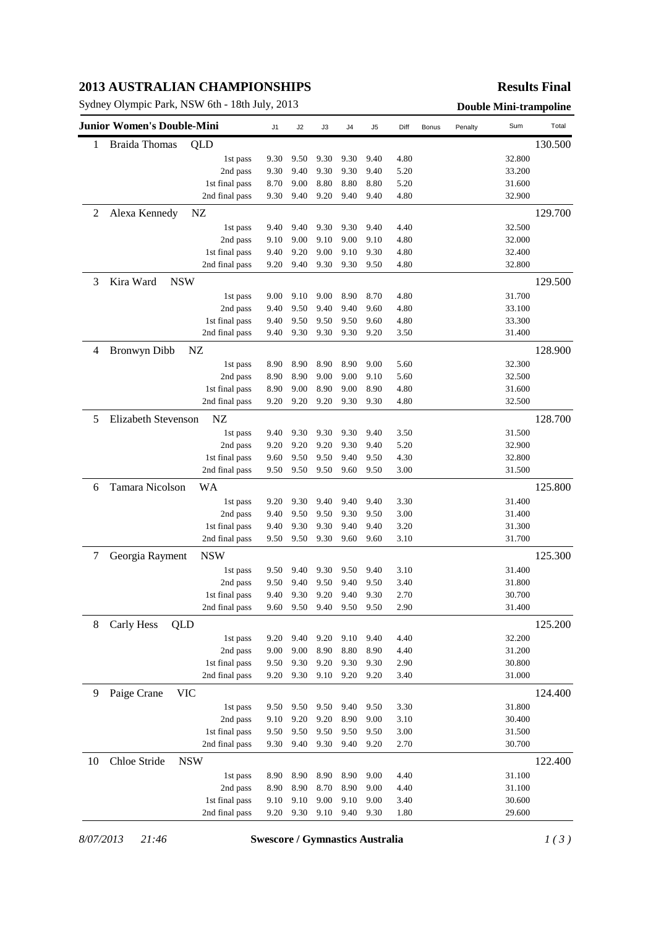## **2013 AUSTRALIAN CHAMPIONSHIPS**

Sydney Olympic Park, NSW 6th - 18th July, 2013 **Double Mini-trampoline** 

#### **Results Final**

|    | Junior Women's Double-Mini |                | J1   | J2   | J3   | J <sub>4</sub> | J5   | Diff | Bonus | Penalty | Sum    | Total   |
|----|----------------------------|----------------|------|------|------|----------------|------|------|-------|---------|--------|---------|
| 1  | Braida Thomas              | QLD            |      |      |      |                |      |      |       |         |        | 130.500 |
|    |                            | 1st pass       | 9.30 | 9.50 | 9.30 | 9.30           | 9.40 | 4.80 |       |         | 32.800 |         |
|    |                            | 2nd pass       | 9.30 | 9.40 | 9.30 | 9.30           | 9.40 | 5.20 |       |         | 33.200 |         |
|    |                            | 1st final pass | 8.70 | 9.00 | 8.80 | 8.80           | 8.80 | 5.20 |       |         | 31.600 |         |
|    |                            | 2nd final pass | 9.30 | 9.40 | 9.20 | 9.40           | 9.40 | 4.80 |       |         | 32.900 |         |
| 2  | Alexa Kennedy              | NZ             |      |      |      |                |      |      |       |         |        | 129.700 |
|    |                            | 1st pass       | 9.40 | 9.40 | 9.30 | 9.30           | 9.40 | 4.40 |       |         | 32.500 |         |
|    |                            | 2nd pass       | 9.10 | 9.00 | 9.10 | 9.00           | 9.10 | 4.80 |       |         | 32.000 |         |
|    |                            | 1st final pass | 9.40 | 9.20 | 9.00 | 9.10           | 9.30 | 4.80 |       |         | 32.400 |         |
|    |                            | 2nd final pass | 9.20 | 9.40 | 9.30 | 9.30           | 9.50 | 4.80 |       |         | 32.800 |         |
| 3  | Kira Ward<br><b>NSW</b>    |                |      |      |      |                |      |      |       |         |        | 129.500 |
|    |                            | 1st pass       | 9.00 | 9.10 | 9.00 | 8.90           | 8.70 | 4.80 |       |         | 31.700 |         |
|    |                            | 2nd pass       | 9.40 | 9.50 | 9.40 | 9.40           | 9.60 | 4.80 |       |         | 33.100 |         |
|    |                            | 1st final pass | 9.40 | 9.50 | 9.50 | 9.50           | 9.60 | 4.80 |       |         | 33.300 |         |
|    |                            | 2nd final pass | 9.40 | 9.30 | 9.30 | 9.30           | 9.20 | 3.50 |       |         | 31.400 |         |
| 4  | <b>Bronwyn Dibb</b>        | NZ             |      |      |      |                |      |      |       |         |        | 128.900 |
|    |                            | 1st pass       | 8.90 | 8.90 | 8.90 | 8.90           | 9.00 | 5.60 |       |         | 32.300 |         |
|    |                            | 2nd pass       | 8.90 | 8.90 | 9.00 | 9.00           | 9.10 | 5.60 |       |         | 32.500 |         |
|    |                            | 1st final pass | 8.90 | 9.00 | 8.90 | 9.00           | 8.90 | 4.80 |       |         | 31.600 |         |
|    |                            | 2nd final pass | 9.20 | 9.20 | 9.20 | 9.30           | 9.30 | 4.80 |       |         | 32.500 |         |
| 5  | <b>Elizabeth Stevenson</b> | NZ             |      |      |      |                |      |      |       |         |        | 128.700 |
|    |                            | 1st pass       | 9.40 | 9.30 | 9.30 | 9.30           | 9.40 | 3.50 |       |         | 31.500 |         |
|    |                            | 2nd pass       | 9.20 | 9.20 | 9.20 | 9.30           | 9.40 | 5.20 |       |         | 32.900 |         |
|    |                            | 1st final pass | 9.60 | 9.50 | 9.50 | 9.40           | 9.50 | 4.30 |       |         | 32.800 |         |
|    |                            | 2nd final pass | 9.50 | 9.50 | 9.50 | 9.60           | 9.50 | 3.00 |       |         | 31.500 |         |
| 6  | Tamara Nicolson            | WA             |      |      |      |                |      |      |       |         |        | 125.800 |
|    |                            | 1st pass       | 9.20 | 9.30 | 9.40 | 9.40           | 9.40 | 3.30 |       |         | 31.400 |         |
|    |                            | 2nd pass       | 9.40 | 9.50 | 9.50 | 9.30           | 9.50 | 3.00 |       |         | 31.400 |         |
|    |                            | 1st final pass | 9.40 | 9.30 | 9.30 | 9.40           | 9.40 | 3.20 |       |         | 31.300 |         |
|    |                            | 2nd final pass | 9.50 | 9.50 | 9.30 | 9.60           | 9.60 | 3.10 |       |         | 31.700 |         |
| 7  | Georgia Rayment            | <b>NSW</b>     |      |      |      |                |      |      |       |         |        | 125.300 |
|    |                            | 1st pass       | 9.50 | 9.40 | 9.30 | 9.50           | 9.40 | 3.10 |       |         | 31.400 |         |
|    |                            | 2nd pass       | 9.50 | 9.40 | 9.50 | 9.40           | 9.50 | 3.40 |       |         | 31.800 |         |
|    |                            | 1st final pass | 9.40 | 9.30 | 9.20 | 9.40           | 9.30 | 2.70 |       |         | 30.700 |         |
|    |                            | 2nd final pass | 9.60 | 9.50 | 9.40 | 9.50           | 9.50 | 2.90 |       |         | 31.400 |         |
| 8  | QLD<br>Carly Hess          |                |      |      |      |                |      |      |       |         |        | 125.200 |
|    |                            | 1st pass       | 9.20 | 9.40 | 9.20 | 9.10           | 9.40 | 4.40 |       |         | 32.200 |         |
|    |                            | 2nd pass       | 9.00 | 9.00 | 8.90 | 8.80           | 8.90 | 4.40 |       |         | 31.200 |         |
|    |                            | 1st final pass | 9.50 | 9.30 | 9.20 | 9.30           | 9.30 | 2.90 |       |         | 30.800 |         |
|    |                            | 2nd final pass | 9.20 | 9.30 | 9.10 | 9.20           | 9.20 | 3.40 |       |         | 31.000 |         |
| 9  | Paige Crane<br><b>VIC</b>  |                |      |      |      |                |      |      |       |         |        | 124.400 |
|    |                            | 1st pass       | 9.50 | 9.50 | 9.50 | 9.40           | 9.50 | 3.30 |       |         | 31.800 |         |
|    |                            | 2nd pass       | 9.10 | 9.20 | 9.20 | 8.90           | 9.00 | 3.10 |       |         | 30.400 |         |
|    |                            | 1st final pass | 9.50 | 9.50 | 9.50 | 9.50           | 9.50 | 3.00 |       |         | 31.500 |         |
|    |                            | 2nd final pass | 9.30 | 9.40 | 9.30 | 9.40           | 9.20 | 2.70 |       |         | 30.700 |         |
| 10 | Chloe Stride               | <b>NSW</b>     |      |      |      |                |      |      |       |         |        | 122.400 |
|    |                            | 1st pass       | 8.90 | 8.90 | 8.90 | 8.90           | 9.00 | 4.40 |       |         | 31.100 |         |
|    |                            |                | 8.90 | 8.90 | 8.70 | 8.90           | 9.00 | 4.40 |       |         | 31.100 |         |
|    |                            | 2nd pass       |      |      |      |                |      |      |       |         |        |         |
|    |                            | 1st final pass | 9.10 | 9.10 | 9.00 | 9.10           | 9.00 | 3.40 |       |         | 30.600 |         |

*8/07/2013 21:46* **Swescore / Gymnastics Australia** *1 ( 3 )*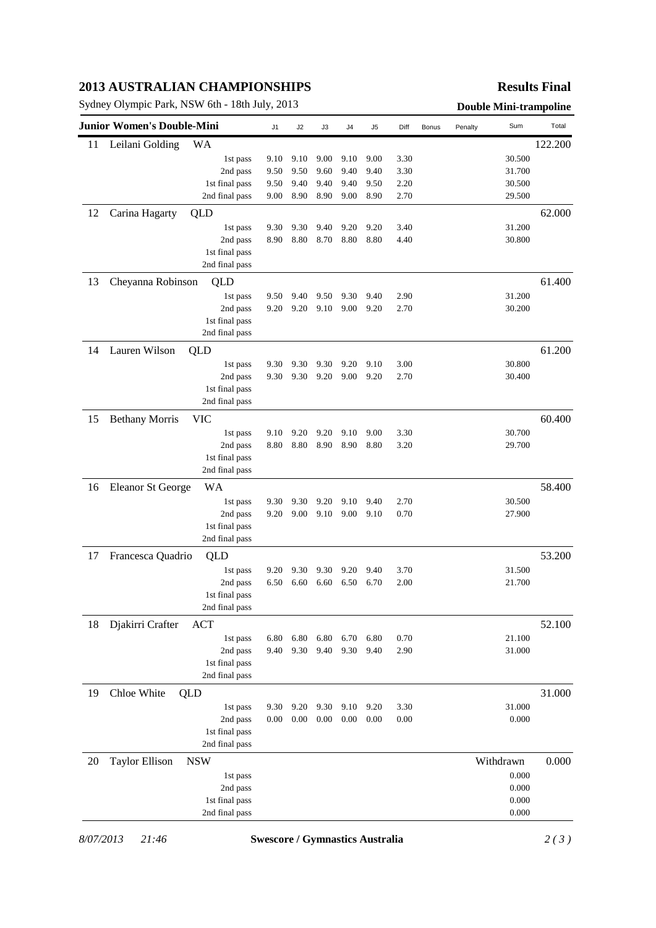## **2013 AUSTRALIAN CHAMPIONSHIPS**

Sydney Olympic Park, NSW 6th - 18th July, 2013 **Double Mini-trampoline**

#### **Results Final**

| <b>Junior Women's Double-Mini</b> |                          |                                  | J1           | J2           | J3           | J4           | J5           | Diff         | Bonus | Penalty | Sum              | Total   |
|-----------------------------------|--------------------------|----------------------------------|--------------|--------------|--------------|--------------|--------------|--------------|-------|---------|------------------|---------|
| 11                                | Leilani Golding          | WA                               |              |              |              |              |              |              |       |         |                  | 122.200 |
|                                   |                          | 1st pass                         | 9.10         | 9.10         | 9.00         | 9.10         | 9.00         | 3.30         |       |         | 30.500           |         |
|                                   |                          | 2nd pass                         | 9.50         | 9.50         | 9.60         | 9.40         | 9.40         | 3.30         |       |         | 31.700           |         |
|                                   |                          | 1st final pass                   | 9.50         | 9.40         | 9.40         | 9.40         | 9.50         | 2.20         |       |         | 30.500           |         |
|                                   |                          | 2nd final pass                   | 9.00         | 8.90         | 8.90         | 9.00         | 8.90         | 2.70         |       |         | 29.500           |         |
| 12                                | Carina Hagarty           | QLD                              |              |              |              |              |              |              |       |         |                  | 62.000  |
|                                   |                          | 1st pass                         | 9.30         | 9.30         | 9.40         | 9.20         | 9.20         | 3.40         |       |         | 31.200           |         |
|                                   |                          | 2nd pass                         | 8.90         | 8.80         | 8.70         | 8.80         | 8.80         | 4.40         |       |         | 30.800           |         |
|                                   |                          | 1st final pass                   |              |              |              |              |              |              |       |         |                  |         |
|                                   |                          | 2nd final pass                   |              |              |              |              |              |              |       |         |                  |         |
| 13                                | Cheyanna Robinson        | QLD                              |              |              |              |              |              |              |       |         |                  | 61.400  |
|                                   |                          | 1st pass                         | 9.50         | 9.40         | 9.50         | 9.30         | 9.40         | 2.90         |       |         | 31.200           |         |
|                                   |                          | 2nd pass                         | 9.20         | 9.20         | 9.10         | 9.00         | 9.20         | 2.70         |       |         | 30.200           |         |
|                                   |                          | 1st final pass                   |              |              |              |              |              |              |       |         |                  |         |
|                                   |                          | 2nd final pass                   |              |              |              |              |              |              |       |         |                  |         |
| 14                                | Lauren Wilson            | QLD                              |              |              |              |              |              |              |       |         |                  | 61.200  |
|                                   |                          | 1st pass                         | 9.30         | 9.30         | 9.30         | 9.20         | 9.10         | 3.00         |       |         | 30.800           |         |
|                                   |                          | 2nd pass                         | 9.30         | 9.30         | 9.20         | 9.00         | 9.20         | 2.70         |       |         | 30.400           |         |
|                                   |                          | 1st final pass                   |              |              |              |              |              |              |       |         |                  |         |
|                                   |                          | 2nd final pass                   |              |              |              |              |              |              |       |         |                  |         |
| 15                                |                          |                                  |              |              |              |              |              |              |       |         |                  | 60.400  |
|                                   | <b>Bethany Morris</b>    | <b>VIC</b>                       |              |              |              |              |              |              |       |         | 30.700           |         |
|                                   |                          | 1st pass<br>2nd pass             | 9.10<br>8.80 | 9.20<br>8.80 | 9.20<br>8.90 | 9.10<br>8.90 | 9.00<br>8.80 | 3.30<br>3.20 |       |         | 29.700           |         |
|                                   |                          | 1st final pass                   |              |              |              |              |              |              |       |         |                  |         |
|                                   |                          | 2nd final pass                   |              |              |              |              |              |              |       |         |                  |         |
| 16                                | <b>Eleanor St George</b> | <b>WA</b>                        |              |              |              |              |              |              |       |         |                  | 58.400  |
|                                   |                          |                                  | 9.30         | 9.30         | 9.20         | 9.10         | 9.40         | 2.70         |       |         | 30.500           |         |
|                                   |                          | 1st pass<br>2nd pass             | 9.20         | 9.00         | 9.10         | 9.00         | 9.10         | 0.70         |       |         | 27.900           |         |
|                                   |                          | 1st final pass                   |              |              |              |              |              |              |       |         |                  |         |
|                                   |                          | 2nd final pass                   |              |              |              |              |              |              |       |         |                  |         |
|                                   |                          |                                  |              |              |              |              |              |              |       |         |                  | 53.200  |
| 17                                | Francesca Quadrio        | QLD                              |              |              |              |              |              |              |       |         |                  |         |
|                                   |                          | 1st pass<br>2nd pass             | 9.20<br>6.50 | 9.30<br>6.60 | 9.30<br>6.60 | 9.20<br>6.50 | 9.40<br>6.70 | 3.70<br>2.00 |       |         | 31.500<br>21.700 |         |
|                                   |                          | 1st final pass                   |              |              |              |              |              |              |       |         |                  |         |
|                                   |                          | 2nd final pass                   |              |              |              |              |              |              |       |         |                  |         |
|                                   |                          |                                  |              |              |              |              |              |              |       |         |                  |         |
| 18                                | Djakirri Crafter         | <b>ACT</b>                       |              |              |              |              |              |              |       |         |                  | 52.100  |
|                                   |                          | 1st pass                         | 6.80<br>9.40 | 6.80<br>9.30 | 6.80<br>9.40 | 6.70<br>9.30 | 6.80         | 0.70         |       |         | 21.100           |         |
|                                   |                          | 2nd pass<br>1st final pass       |              |              |              |              | 9.40         | 2.90         |       |         | 31.000           |         |
|                                   |                          | 2nd final pass                   |              |              |              |              |              |              |       |         |                  |         |
|                                   |                          |                                  |              |              |              |              |              |              |       |         |                  |         |
| 19                                | Chloe White              | QLD                              |              |              |              |              |              |              |       |         |                  | 31.000  |
|                                   |                          | 1st pass                         | 9.30         | 9.20         | 9.30         | 9.10         | 9.20         | 3.30         |       |         | 31.000           |         |
|                                   |                          | 2nd pass                         | 0.00         | 0.00         | 0.00         | 0.00         | 0.00         | 0.00         |       |         | 0.000            |         |
|                                   |                          | 1st final pass<br>2nd final pass |              |              |              |              |              |              |       |         |                  |         |
|                                   |                          |                                  |              |              |              |              |              |              |       |         |                  |         |
| 20                                | <b>Taylor Ellison</b>    | <b>NSW</b>                       |              |              |              |              |              |              |       |         | Withdrawn        | 0.000   |
|                                   |                          | 1st pass                         |              |              |              |              |              |              |       |         | 0.000            |         |
|                                   |                          | 2nd pass                         |              |              |              |              |              |              |       |         | 0.000            |         |
|                                   |                          | 1st final pass                   |              |              |              |              |              |              |       |         | 0.000            |         |
|                                   |                          | 2nd final pass                   |              |              |              |              |              |              |       |         | 0.000            |         |

*8/07/2013 21:46* **Swescore / Gymnastics Australia** *2 ( 3 )*